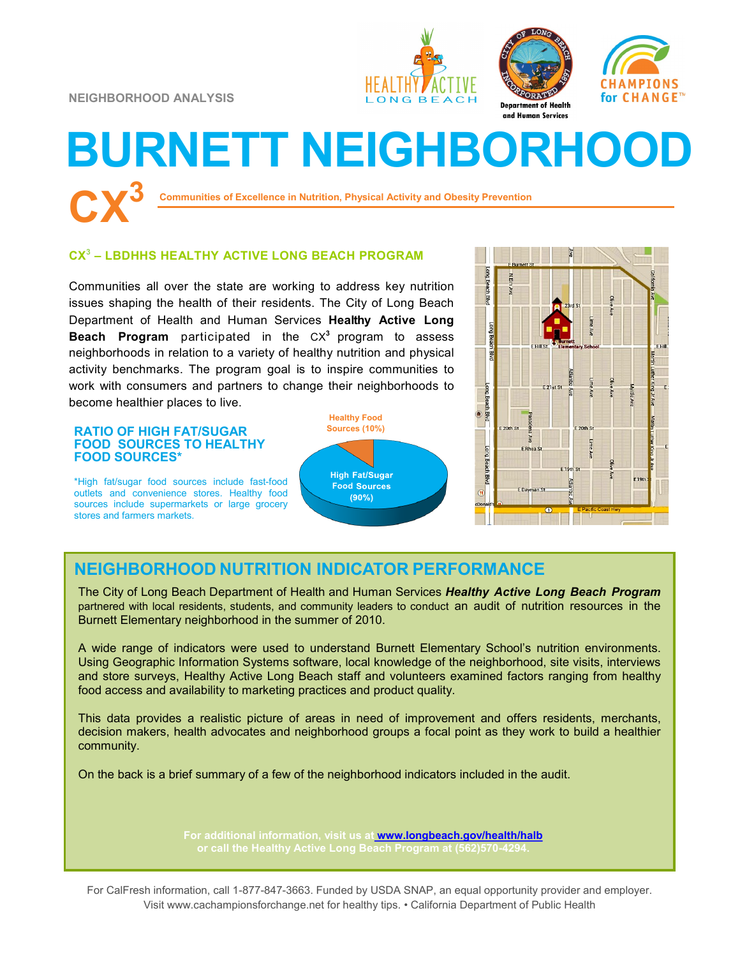**NEIGHBORHOOD ANALYSIS**







# **BURNETT NEIGHBORHOOD**

**Communities of Excellence in Nutrition, Physical Activity and Obesity Prevention** 

## **CX 3 – LBDHHS HEALTHY ACTIVE LONG BEACH PROGRAM**

Communities all over the state are working to address key nutrition issues shaping the health of their residents. The City of Long Beach Department of Health and Human Services **Healthy Active Long Beach Program** participated in the CX**<sup>3</sup>** program to assess neighborhoods in relation to a variety of healthy nutrition and physical activity benchmarks. The program goal is to inspire communities to work with consumers and partners to change their neighborhoods to become healthier places to live.

#### **Sources (10%) RATIO OF HIGH FAT/SUGAR FOOD SOURCES TO HEALTHY FOOD SOURCES\***

\*High fat/sugar food sources include fast-food outlets and convenience stores. Healthy food sources include supermarkets or large grocery stores and farmers markets.





# **NEIGHBORHOOD NUTRITION INDICATOR PERFORMANCE**

The City of Long Beach Department of Health and Human Services *Healthy Active Long Beach Program*  partnered with local residents, students, and community leaders to conduct an audit of nutrition resources in the Burnett Elementary neighborhood in the summer of 2010.

A wide range of indicators were used to understand Burnett Elementary School's nutrition environments. Using Geographic Information Systems software, local knowledge of the neighborhood, site visits, interviews and store surveys, Healthy Active Long Beach staff and volunteers examined factors ranging from healthy food access and availability to marketing practices and product quality.

This data provides a realistic picture of areas in need of improvement and offers residents, merchants, decision makers, health advocates and neighborhood groups a focal point as they work to build a healthier community.

On the back is a brief summary of a few of the neighborhood indicators included in the audit.

**For additional information, visit us at [www.longbeach.gov/health/halb](http://%20www.longbeach.gov/health%20)**

For CalFresh information, call 1-877-847-3663. Funded by USDA SNAP, an equal opportunity provider and employer. Visit www.cachampionsforchange.net for healthy tips. • California Department of Public Health